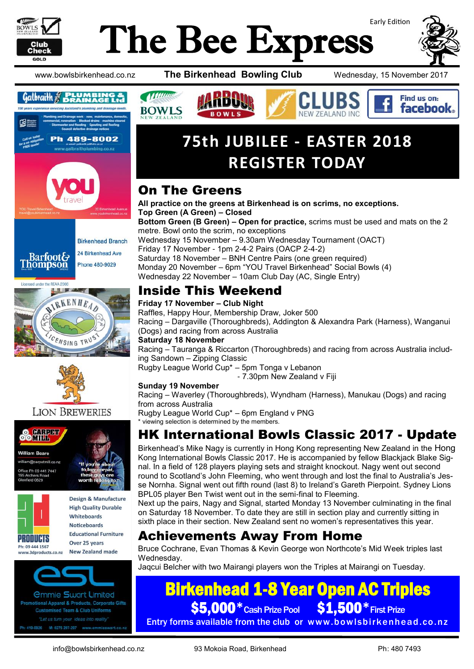

# Early Edition The Bee Express



Find us on: **facebook** 

www.bowlsbirkenhead.co.nz **The Birkenhead Bowling Club** Wednesday, 15 November 2017



24 Birkenhead Ave Barfoot&<br>Thompson Phone 480-9029

Licensed under the REAA 2008





### **LION BREWERIES**





Design & Manufacture **High Quality Durable Whitehoards Noticeboards Educational Furniture** Over 25 years

New Zealand made www.3dproducts.co.nz



*<u>Ommie Swart Limited</u>* otional Apparel & Products, Corporate Gifts **Customised Team & Club Uniforms** 419-0926 M: 0275 297-297 www.emmiesw

## **75th JUBILEE - EASTER 2018 REGISTER TODAY**

## On The Greens

11 Minutes

**BOWLS** 

**All practice on the greens at Birkenhead is on scrims, no exceptions. Top Green (A Green) – Closed Bottom Green (B Green) – Open for practice,** scrims must be used and mats on the 2 metre. Bowl onto the scrim, no exceptions Wednesday 15 November – 9.30am Wednesday Tournament (OACT) Friday 17 November - 1pm 2-4-2 Pairs (OACP 2-4-2) Saturday 18 November – BNH Centre Pairs (one green required) Monday 20 November – 6pm "YOU Travel Birkenhead" Social Bowls (4) Wednesday 22 November – 10am Club Day (AC, Single Entry)

## Inside This Weekend

### **Friday 17 November – Club Night**

Raffles, Happy Hour, Membership Draw, Joker 500 Racing – Dargaville (Thoroughbreds), Addington & Alexandra Park (Harness), Wanganui (Dogs) and racing from across Australia

### **Saturday 18 November**

Racing – Tauranga & Riccarton (Thoroughbreds) and racing from across Australia including Sandown – Zipping Classic

Rugby League World Cup\* – 5pm Tonga v Lebanon

- 7.30pm New Zealand v Fiji

### **Sunday 19 November**

Racing – Waverley (Thoroughbreds), Wyndham (Harness), Manukau (Dogs) and racing from across Australia

Rugby League World Cup\* – 6pm England v PNG \* viewing selection is determined by the members.

## HK International Bowls Classic 2017 - Update

Birkenhead's Mike Nagy is currently in Hong Kong representing New Zealand in the Hong Kong International Bowls Classic 2017. He is accompanied by fellow Blackjack Blake Signal. In a field of 128 players playing sets and straight knockout. Nagy went out second round to Scotland's John Fleeming, who went through and lost the final to Australia's Jesse Nornha. Signal went out fifth round (last 8) to Ireland's Gareth Pierpoint. Sydney Lions BPL05 player Ben Twist went out in the semi-final to Fleeming.

Next up the pairs, Nagy and Signal, started Monday 13 November culminating in the final on Saturday 18 November. To date they are still in section play and currently sitting in sixth place in their section. New Zealand sent no women's representatives this year.

## Achievements Away From Home

Bruce Cochrane, Evan Thomas & Kevin George won Northcote's Mid Week triples last Wednesday.

Jaqcui Belcher with two Mairangi players won the Triples at Mairangi on Tuesday.

## Birkenhead 1-8 Year Open AC Triples

\$5,000 \* Cash Prize Pool \$1,500 \* First Prize Entry forms available from the club or www.bowlsbirkenhead.co.nz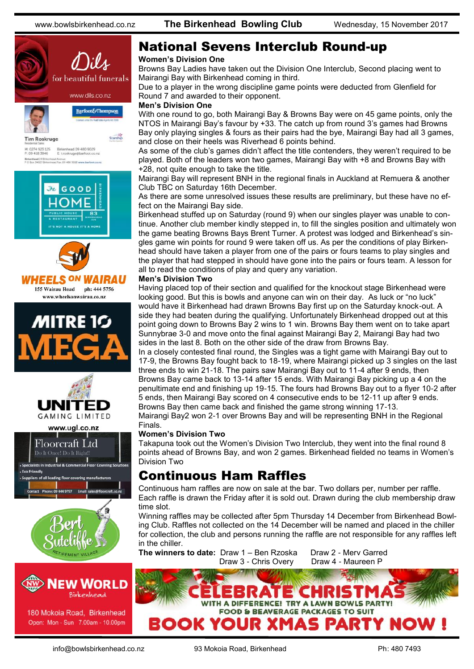



180 Mokoia Road, Birkenhead Open: Mon - Sun 7.00am - 10.00pm

## National Sevens Interclub Round-up

### **Women's Division One**

Browns Bay Ladies have taken out the Division One Interclub, Second placing went to Mairangi Bay with Birkenhead coming in third.

Due to a player in the wrong discipline game points were deducted from Glenfield for Round 7 and awarded to their opponent.

#### **Men's Division One**

With one round to go, both Mairangi Bay & Browns Bay were on 45 game points, only the NTOS in Mairangi Bay's favour by +33. The catch up from round 3's games had Browns Bay only playing singles & fours as their pairs had the bye, Mairangi Bay had all 3 games, and close on their heels was Riverhead 6 points behind.

As some of the club's games didn't affect the title contenders, they weren't required to be played. Both of the leaders won two games, Mairangi Bay with +8 and Browns Bay with +28, not quite enough to take the title.

Mairangi Bay will represent BNH in the regional finals in Auckland at Remuera & another Club TBC on Saturday 16th December.

As there are some unresolved issues these results are preliminary, but these have no effect on the Mairangi Bay side.

Birkenhead stuffed up on Saturday (round 9) when our singles player was unable to continue. Another club member kindly stepped in, to fill the singles position and ultimately won the game beating Browns Bays Brent Turner. A protest was lodged and Birkenhead's singles game win points for round 9 were taken off us. As per the conditions of play Birkenhead should have taken a player from one of the pairs or fours teams to play singles and the player that had stepped in should have gone into the pairs or fours team. A lesson for all to read the conditions of play and query any variation.

### **Men's Division Two**

Having placed top of their section and qualified for the knockout stage Birkenhead were looking good. But this is bowls and anyone can win on their day. As luck or "no luck" would have it Birkenhead had drawn Browns Bay first up on the Saturday knock-out. A side they had beaten during the qualifying. Unfortunately Birkenhead dropped out at this point going down to Browns Bay 2 wins to 1 win. Browns Bay them went on to take apart Sunnybrae 3-0 and move onto the final against Mairangi Bay 2, Mairangi Bay had two sides in the last 8. Both on the other side of the draw from Browns Bay.

In a closely contested final round, the Singles was a tight game with Mairangi Bay out to 17-9, the Browns Bay fought back to 18-19, where Mairangi picked up 3 singles on the last three ends to win 21-18. The pairs saw Mairangi Bay out to 11-4 after 9 ends, then Browns Bay came back to 13-14 after 15 ends. With Mairangi Bay picking up a 4 on the penultimate end and finishing up 19-15. The fours had Browns Bay out to a flyer 10-2 after 5 ends, then Mairangi Bay scored on 4 consecutive ends to be 12-11 up after 9 ends. Browns Bay then came back and finished the game strong winning 17-13. Mairangi Bay2 won 2-1 over Browns Bay and will be representing BNH in the Regional

Finals.

### **Women's Division Two**

Takapuna took out the Women's Division Two Interclub, they went into the final round 8 points ahead of Browns Bay, and won 2 games. Birkenhead fielded no teams in Women's Division Two

### Continuous Ham Raffles

Continuous ham raffles are now on sale at the bar. Two dollars per, number per raffle. Each raffle is drawn the Friday after it is sold out. Drawn during the club membership draw time slot.

Winning raffles may be collected after 5pm Thursday 14 December from Birkenhead Bowling Club. Raffles not collected on the 14 December will be named and placed in the chiller for collection, the club and persons running the raffle are not responsible for any raffles left in the chiller.

**The winners to date: Draw 1 – Ben Rzoska Draw 2 - Mery Garred** 

Draw 3 - Chris Overy Draw 4 - Maureen P

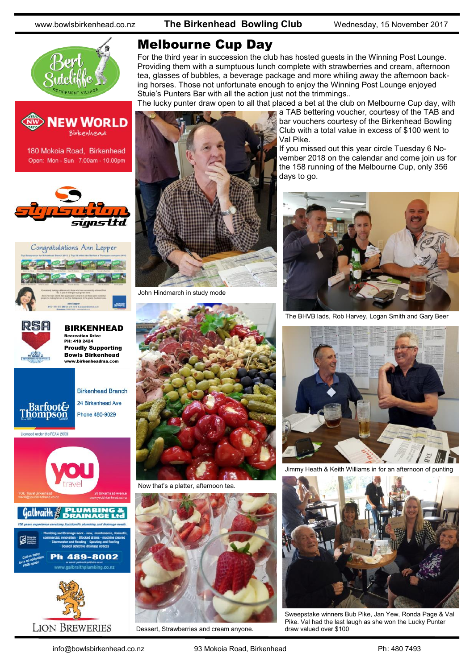www.bowlsbirkenhead.co.nz **The Birkenhead Bowling Club** Wednesday, 15 November 2017











**BIRKENHEAD** Recreation Drive PH: 418 2424 Proudly Supporting Bowls Birkenhead www.birkenheadrsa.com



24 Birkenhead Ave

Licensed under the REAA 2008



**LION BREWERIES** 



For the third year in succession the club has hosted guests in the Winning Post Lounge. Providing them with a sumptuous lunch complete with strawberries and cream, afternoon tea, glasses of bubbles, a beverage package and more whiling away the afternoon backing horses. Those not unfortunate enough to enjoy the Winning Post Lounge enjoyed Stuie's Punters Bar with all the action just not the trimmings..

Val Pike.

The lucky punter draw open to all that placed a bet at the club on Melbourne Cup day, with a TAB bettering voucher, courtesy of the TAB and



John Hindmarch in study mode



Now that's a platter, afternoon tea.



Dessert, Strawberries and cream anyone.



bar vouchers courtesy of the Birkenhead Bowling Club with a total value in excess of \$100 went to

If you missed out this year circle Tuesday 6 November 2018 on the calendar and come join us for the 158 running of the Melbourne Cup, only 356

The BHVB lads, Rob Harvey, Logan Smith and Gary Beer



Jimmy Heath & Keith Williams in for an afternoon of punting



Sweepstake winners Bub Pike, Jan Yew, Ronda Page & Val Pike. Val had the last laugh as she won the Lucky Punter draw valued over \$100